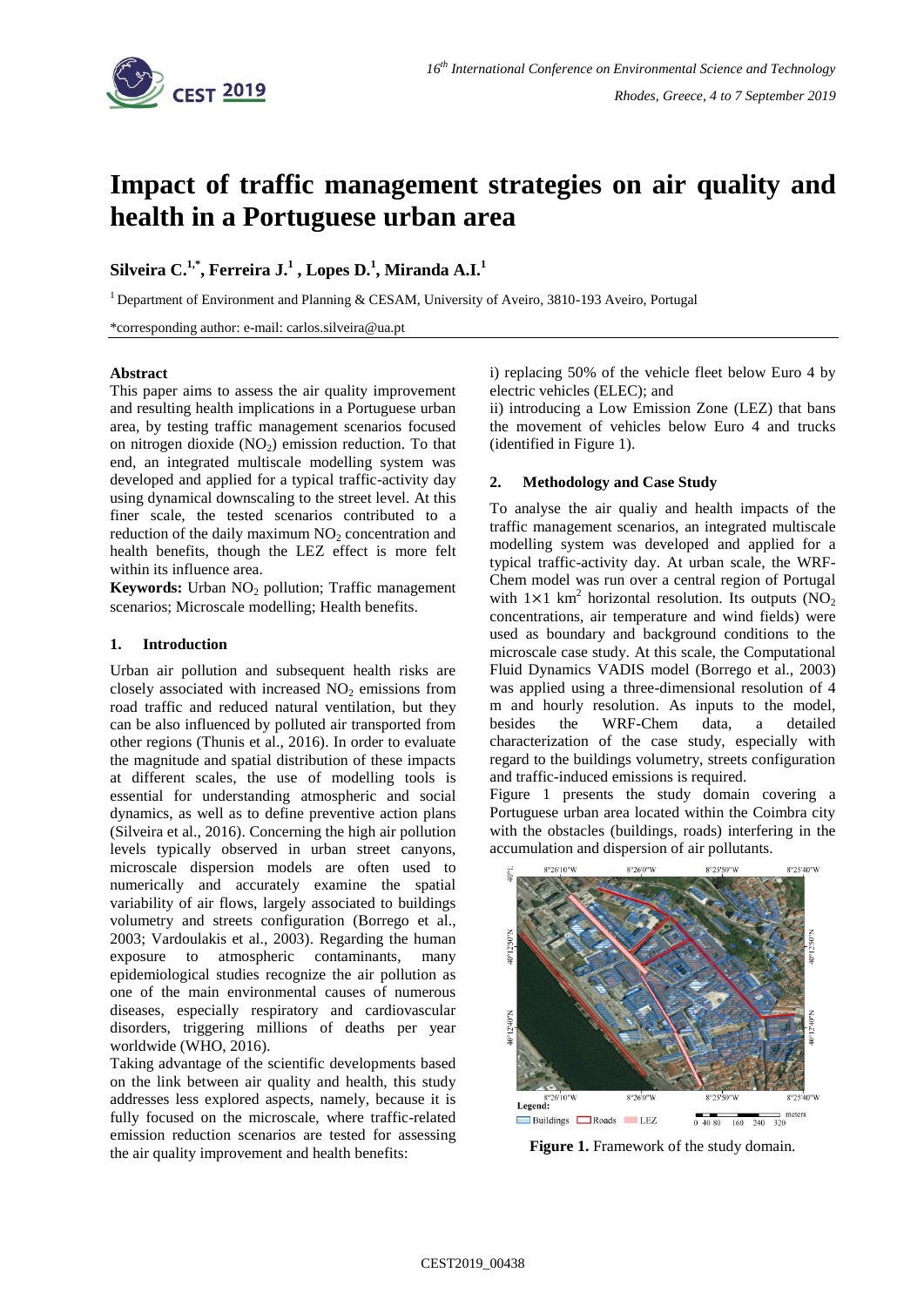

# **Impact of traffic management strategies on air quality and health in a Portuguese urban area**

# **Silveira C. 1,\*, Ferreira J. 1 , Lopes D. 1 , Miranda A.I.<sup>1</sup>**

<sup>1</sup> Department of Environment and Planning & CESAM, University of Aveiro, 3810-193 Aveiro, Portugal

\*corresponding author: e-mail: carlos.silveira@ua.pt

#### **Abstract**

This paper aims to assess the air quality improvement and resulting health implications in a Portuguese urban area, by testing traffic management scenarios focused on nitrogen dioxide  $(NO<sub>2</sub>)$  emission reduction. To that end, an integrated multiscale modelling system was developed and applied for a typical traffic-activity day using dynamical downscaling to the street level. At this finer scale, the tested scenarios contributed to a reduction of the daily maximum  $NO<sub>2</sub>$  concentration and health benefits, though the LEZ effect is more felt within its influence area.

**Keywords:** Urban NO<sub>2</sub> pollution; Traffic management scenarios; Microscale modelling; Health benefits.

#### **1. Introduction**

Urban air pollution and subsequent health risks are closely associated with increased  $NO<sub>2</sub>$  emissions from road traffic and reduced natural ventilation, but they can be also influenced by polluted air transported from other regions (Thunis et al., 2016). In order to evaluate the magnitude and spatial distribution of these impacts at different scales, the use of modelling tools is essential for understanding atmospheric and social dynamics, as well as to define preventive action plans (Silveira et al., 2016). Concerning the high air pollution levels typically observed in urban street canyons, microscale dispersion models are often used to numerically and accurately examine the spatial variability of air flows, largely associated to buildings volumetry and streets configuration (Borrego et al., 2003; Vardoulakis et al., 2003). Regarding the human exposure to atmospheric contaminants, many epidemiological studies recognize the air pollution as one of the main environmental causes of numerous diseases, especially respiratory and cardiovascular disorders, triggering millions of deaths per year worldwide (WHO, 2016).

Taking advantage of the scientific developments based on the link between air quality and health, this study addresses less explored aspects, namely, because it is fully focused on the microscale, where traffic-related emission reduction scenarios are tested for assessing the air quality improvement and health benefits:

i) replacing 50% of the vehicle fleet below Euro 4 by electric vehicles (ELEC); and

ii) introducing a Low Emission Zone (LEZ) that bans the movement of vehicles below Euro 4 and trucks (identified in Figure 1).

## **2. Methodology and Case Study**

To analyse the air qualiy and health impacts of the traffic management scenarios, an integrated multiscale modelling system was developed and applied for a typical traffic-activity day. At urban scale, the WRF-Chem model was run over a central region of Portugal with  $1 \times 1$  km<sup>2</sup> horizontal resolution. Its outputs (NO<sub>2</sub> concentrations, air temperature and wind fields) were used as boundary and background conditions to the microscale case study. At this scale, the Computational Fluid Dynamics VADIS model (Borrego et al., 2003) was applied using a three-dimensional resolution of 4 m and hourly resolution. As inputs to the model, besides the WRF-Chem data, a detailed characterization of the case study, especially with regard to the buildings volumetry, streets configuration and traffic-induced emissions is required.

Figure 1 presents the study domain covering a Portuguese urban area located within the Coimbra city with the obstacles (buildings, roads) interfering in the accumulation and dispersion of air pollutants.



**Figure 1.** Framework of the study domain.